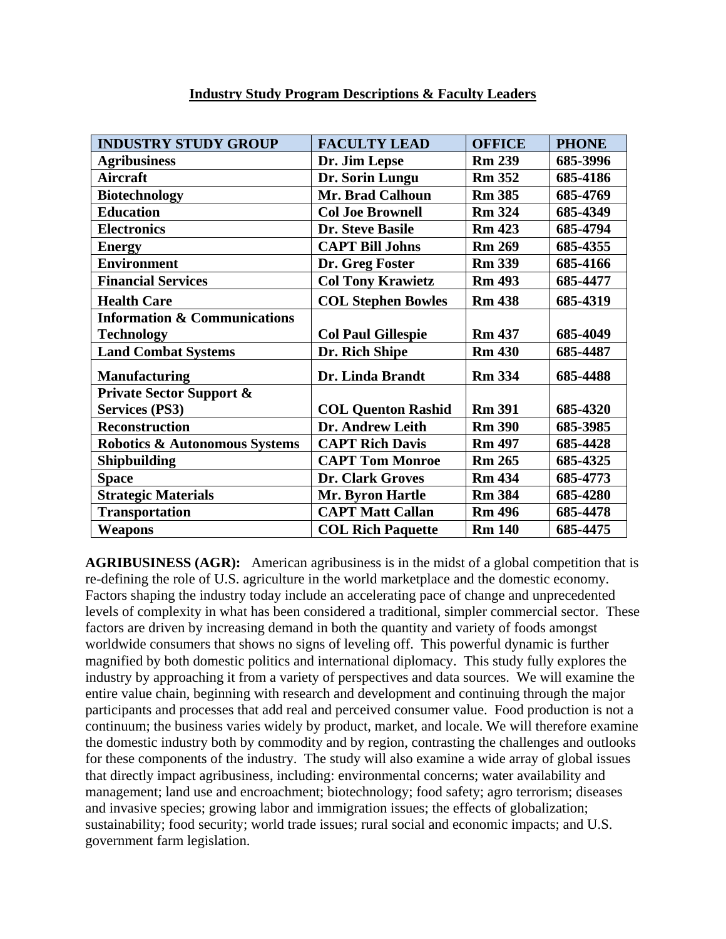| <b>INDUSTRY STUDY GROUP</b>              | <b>FACULTY LEAD</b>       | <b>OFFICE</b> | <b>PHONE</b> |
|------------------------------------------|---------------------------|---------------|--------------|
| <b>Agribusiness</b>                      | Dr. Jim Lepse             | <b>Rm 239</b> | 685-3996     |
| <b>Aircraft</b>                          | Dr. Sorin Lungu           | <b>Rm 352</b> | 685-4186     |
| <b>Biotechnology</b>                     | <b>Mr. Brad Calhoun</b>   | <b>Rm 385</b> | 685-4769     |
| <b>Education</b>                         | <b>Col Joe Brownell</b>   | <b>Rm 324</b> | 685-4349     |
| <b>Electronics</b>                       | <b>Dr. Steve Basile</b>   | <b>Rm 423</b> | 685-4794     |
| <b>Energy</b>                            | <b>CAPT Bill Johns</b>    | <b>Rm 269</b> | 685-4355     |
| <b>Environment</b>                       | Dr. Greg Foster           | <b>Rm 339</b> | 685-4166     |
| <b>Financial Services</b>                | <b>Col Tony Krawietz</b>  | <b>Rm 493</b> | 685-4477     |
| <b>Health Care</b>                       | <b>COL Stephen Bowles</b> | <b>Rm 438</b> | 685-4319     |
| <b>Information &amp; Communications</b>  |                           |               |              |
| <b>Technology</b>                        | <b>Col Paul Gillespie</b> | <b>Rm 437</b> | 685-4049     |
| <b>Land Combat Systems</b>               | Dr. Rich Shipe            | <b>Rm 430</b> | 685-4487     |
| <b>Manufacturing</b>                     | Dr. Linda Brandt          | <b>Rm 334</b> | 685-4488     |
| <b>Private Sector Support &amp;</b>      |                           |               |              |
| <b>Services (PS3)</b>                    | <b>COL Quenton Rashid</b> | <b>Rm 391</b> | 685-4320     |
| <b>Reconstruction</b>                    | Dr. Andrew Leith          | <b>Rm 390</b> | 685-3985     |
| <b>Robotics &amp; Autonomous Systems</b> | <b>CAPT Rich Davis</b>    | <b>Rm 497</b> | 685-4428     |
| <b>Shipbuilding</b>                      | <b>CAPT Tom Monroe</b>    | <b>Rm 265</b> | 685-4325     |
| <b>Space</b>                             | Dr. Clark Groves          | <b>Rm 434</b> | 685-4773     |
| <b>Strategic Materials</b>               | Mr. Byron Hartle          | <b>Rm 384</b> | 685-4280     |
| <b>Transportation</b>                    | <b>CAPT Matt Callan</b>   | <b>Rm</b> 496 | 685-4478     |
| Weapons                                  | <b>COL Rich Paquette</b>  | <b>Rm 140</b> | 685-4475     |

## **Industry Study Program Descriptions & Faculty Leaders**

**AGRIBUSINESS (AGR):** American agribusiness is in the midst of a global competition that is re-defining the role of U.S. agriculture in the world marketplace and the domestic economy. Factors shaping the industry today include an accelerating pace of change and unprecedented levels of complexity in what has been considered a traditional, simpler commercial sector. These factors are driven by increasing demand in both the quantity and variety of foods amongst worldwide consumers that shows no signs of leveling off. This powerful dynamic is further magnified by both domestic politics and international diplomacy. This study fully explores the industry by approaching it from a variety of perspectives and data sources. We will examine the entire value chain, beginning with research and development and continuing through the major participants and processes that add real and perceived consumer value. Food production is not a continuum; the business varies widely by product, market, and locale. We will therefore examine the domestic industry both by commodity and by region, contrasting the challenges and outlooks for these components of the industry. The study will also examine a wide array of global issues that directly impact agribusiness, including: environmental concerns; water availability and management; land use and encroachment; biotechnology; food safety; agro terrorism; diseases and invasive species; growing labor and immigration issues; the effects of globalization; sustainability; food security; world trade issues; rural social and economic impacts; and U.S. government farm legislation.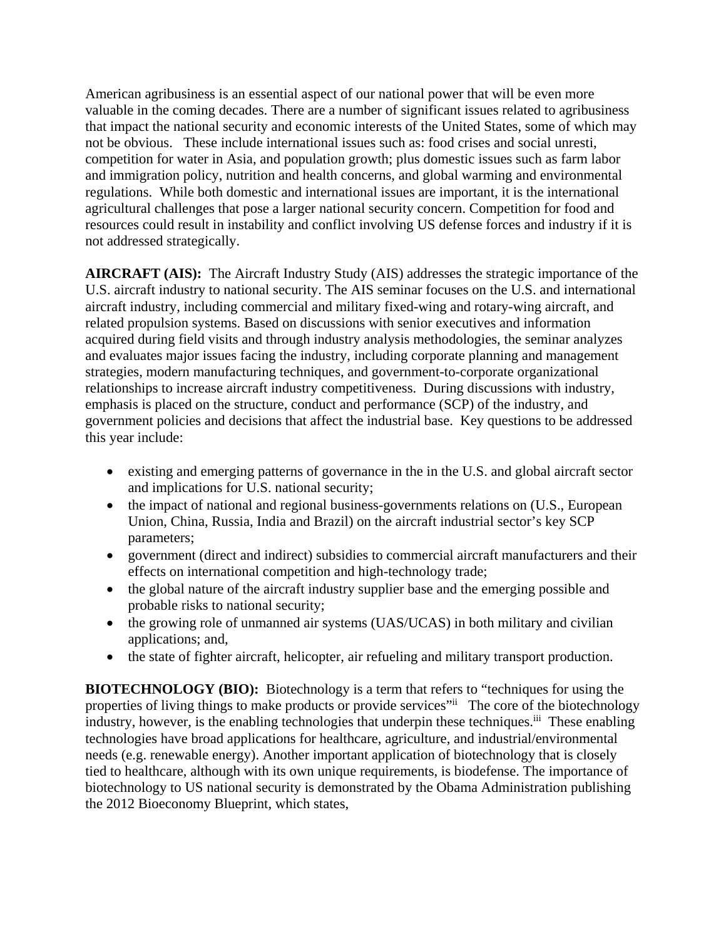American agribusiness is an essential aspect of our national power that will be even more valuable in the coming decades. There are a number of significant issues related to agribusiness that impact the national security and economic interests of the United States, some of which may not be obvious. These include international issues such as: food crises and social unresti, competition for water in Asia, and population growth; plus domestic issues such as farm labor and immigration policy, nutrition and health concerns, and global warming and environmental regulations. While both domestic and international issues are important, it is the international agricultural challenges that pose a larger national security concern. Competition for food and resources could result in instability and conflict involving US defense forces and industry if it is not addressed strategically.

**AIRCRAFT (AIS):** The Aircraft Industry Study (AIS) addresses the strategic importance of the U.S. aircraft industry to national security. The AIS seminar focuses on the U.S. and international aircraft industry, including commercial and military fixed-wing and rotary-wing aircraft, and related propulsion systems. Based on discussions with senior executives and information acquired during field visits and through industry analysis methodologies, the seminar analyzes and evaluates major issues facing the industry, including corporate planning and management strategies, modern manufacturing techniques, and government-to-corporate organizational relationships to increase aircraft industry competitiveness. During discussions with industry, emphasis is placed on the structure, conduct and performance (SCP) of the industry, and government policies and decisions that affect the industrial base. Key questions to be addressed this year include:

- existing and emerging patterns of governance in the in the U.S. and global aircraft sector and implications for U.S. national security;
- the impact of national and regional business-governments relations on (U.S., European Union, China, Russia, India and Brazil) on the aircraft industrial sector's key SCP parameters;
- government (direct and indirect) subsidies to commercial aircraft manufacturers and their effects on international competition and high-technology trade;
- the global nature of the aircraft industry supplier base and the emerging possible and probable risks to national security;
- the growing role of unmanned air systems (UAS/UCAS) in both military and civilian applications; and,
- the state of fighter aircraft, helicopter, air refueling and military transport production.

**BIOTECHNOLOGY (BIO):** Biotechnology is a term that refers to "techniques for using the properties of living things to make products or provide services" The core of the biotechnology industry, however, is the enabling technologies that underpin these techniques.<sup>iii</sup> These enabling technologies have broad applications for healthcare, agriculture, and industrial/environmental needs (e.g. renewable energy). Another important application of biotechnology that is closely tied to healthcare, although with its own unique requirements, is biodefense. The importance of biotechnology to US national security is demonstrated by the Obama Administration publishing the 2012 Bioeconomy Blueprint, which states,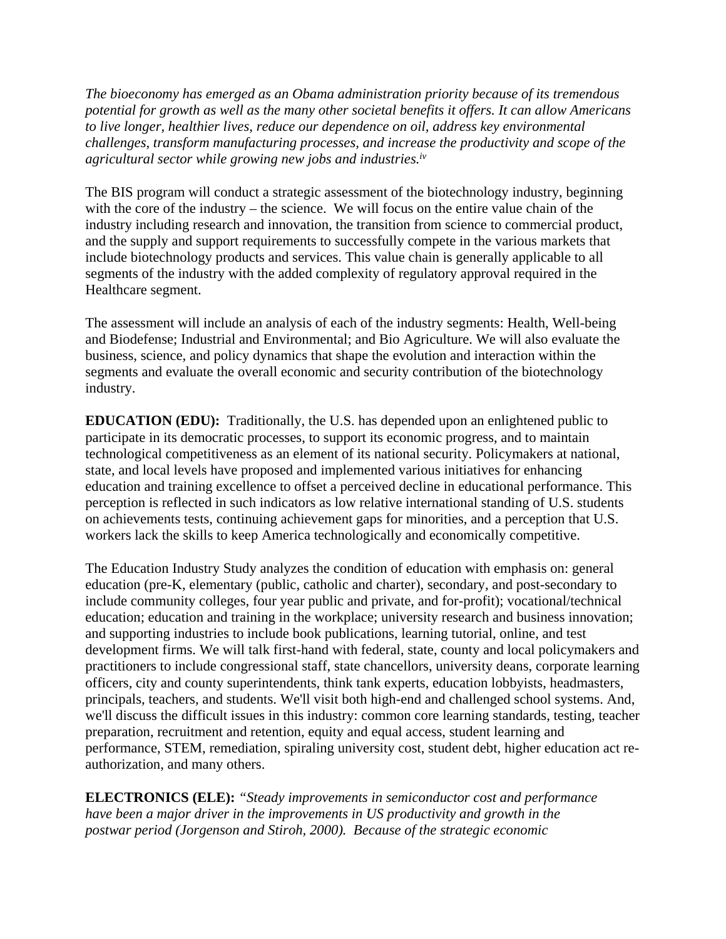*The bioeconomy has emerged as an Obama administration priority because of its tremendous potential for growth as well as the many other societal benefits it offers. It can allow Americans to live longer, healthier lives, reduce our dependence on oil, address key environmental challenges, transform manufacturing processes, and increase the productivity and scope of the agricultural sector while growing new jobs and industries.iv*

The BIS program will conduct a strategic assessment of the biotechnology industry, beginning with the core of the industry – the science. We will focus on the entire value chain of the industry including research and innovation, the transition from science to commercial product, and the supply and support requirements to successfully compete in the various markets that include biotechnology products and services. This value chain is generally applicable to all segments of the industry with the added complexity of regulatory approval required in the Healthcare segment.

The assessment will include an analysis of each of the industry segments: Health, Well-being and Biodefense; Industrial and Environmental; and Bio Agriculture. We will also evaluate the business, science, and policy dynamics that shape the evolution and interaction within the segments and evaluate the overall economic and security contribution of the biotechnology industry.

**EDUCATION (EDU):** Traditionally, the U.S. has depended upon an enlightened public to participate in its democratic processes, to support its economic progress, and to maintain technological competitiveness as an element of its national security. Policymakers at national, state, and local levels have proposed and implemented various initiatives for enhancing education and training excellence to offset a perceived decline in educational performance. This perception is reflected in such indicators as low relative international standing of U.S. students on achievements tests, continuing achievement gaps for minorities, and a perception that U.S. workers lack the skills to keep America technologically and economically competitive.

The Education Industry Study analyzes the condition of education with emphasis on: general education (pre-K, elementary (public, catholic and charter), secondary, and post-secondary to include community colleges, four year public and private, and for-profit); vocational/technical education; education and training in the workplace; university research and business innovation; and supporting industries to include book publications, learning tutorial, online, and test development firms. We will talk first-hand with federal, state, county and local policymakers and practitioners to include congressional staff, state chancellors, university deans, corporate learning officers, city and county superintendents, think tank experts, education lobbyists, headmasters, principals, teachers, and students. We'll visit both high-end and challenged school systems. And, we'll discuss the difficult issues in this industry: common core learning standards, testing, teacher preparation, recruitment and retention, equity and equal access, student learning and performance, STEM, remediation, spiraling university cost, student debt, higher education act reauthorization, and many others.

**ELECTRONICS (ELE):** *"Steady improvements in semiconductor cost and performance have been a major driver in the improvements in US productivity and growth in the postwar period (Jorgenson and Stiroh, 2000). Because of the strategic economic*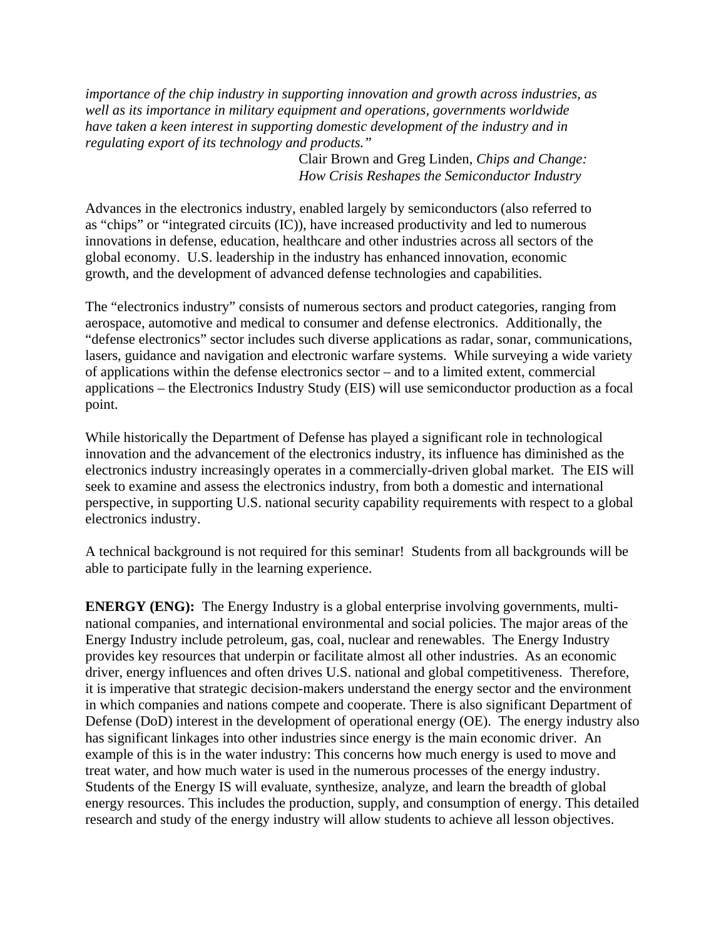*importance of the chip industry in supporting innovation and growth across industries, as well as its importance in military equipment and operations, governments worldwide have taken a keen interest in supporting domestic development of the industry and in regulating export of its technology and products."* 

> Clair Brown and Greg Linden, *Chips and Change: How Crisis Reshapes the Semiconductor Industry*

Advances in the electronics industry, enabled largely by semiconductors (also referred to as "chips" or "integrated circuits (IC)), have increased productivity and led to numerous innovations in defense, education, healthcare and other industries across all sectors of the global economy. U.S. leadership in the industry has enhanced innovation, economic growth, and the development of advanced defense technologies and capabilities.

The "electronics industry" consists of numerous sectors and product categories, ranging from aerospace, automotive and medical to consumer and defense electronics. Additionally, the "defense electronics" sector includes such diverse applications as radar, sonar, communications, lasers, guidance and navigation and electronic warfare systems. While surveying a wide variety of applications within the defense electronics sector – and to a limited extent, commercial applications – the Electronics Industry Study (EIS) will use semiconductor production as a focal point.

While historically the Department of Defense has played a significant role in technological innovation and the advancement of the electronics industry, its influence has diminished as the electronics industry increasingly operates in a commercially-driven global market. The EIS will seek to examine and assess the electronics industry, from both a domestic and international perspective, in supporting U.S. national security capability requirements with respect to a global electronics industry.

A technical background is not required for this seminar! Students from all backgrounds will be able to participate fully in the learning experience.

**ENERGY (ENG):** The Energy Industry is a global enterprise involving governments, multinational companies, and international environmental and social policies. The major areas of the Energy Industry include petroleum, gas, coal, nuclear and renewables. The Energy Industry provides key resources that underpin or facilitate almost all other industries. As an economic driver, energy influences and often drives U.S. national and global competitiveness. Therefore, it is imperative that strategic decision-makers understand the energy sector and the environment in which companies and nations compete and cooperate. There is also significant Department of Defense (DoD) interest in the development of operational energy (OE). The energy industry also has significant linkages into other industries since energy is the main economic driver. An example of this is in the water industry: This concerns how much energy is used to move and treat water, and how much water is used in the numerous processes of the energy industry. Students of the Energy IS will evaluate, synthesize, analyze, and learn the breadth of global energy resources. This includes the production, supply, and consumption of energy. This detailed research and study of the energy industry will allow students to achieve all lesson objectives.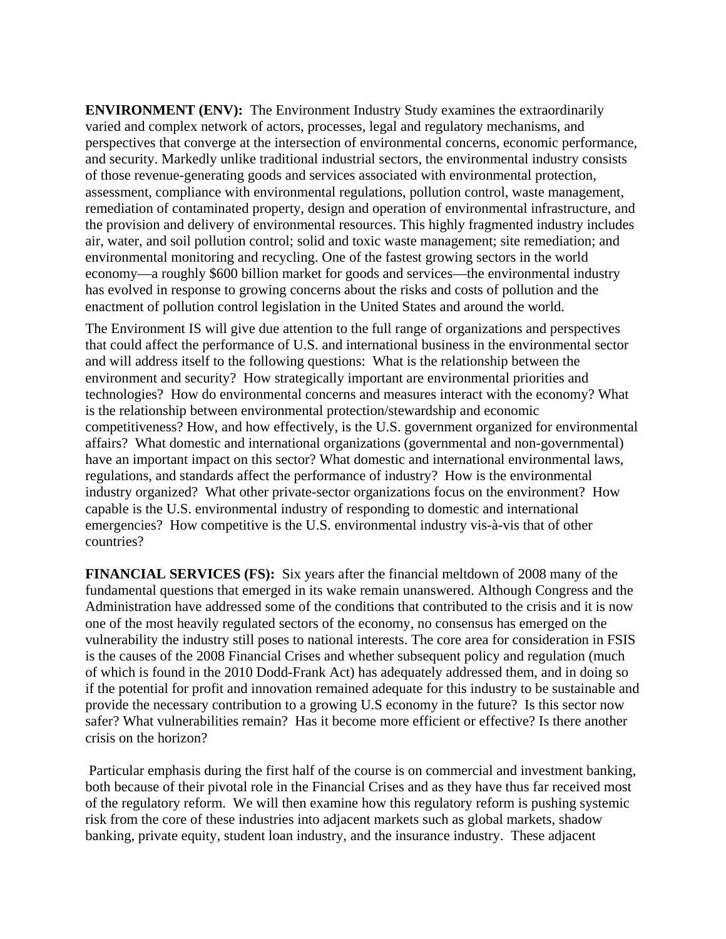**ENVIRONMENT (ENV):** The Environment Industry Study examines the extraordinarily varied and complex network of actors, processes, legal and regulatory mechanisms, and perspectives that converge at the intersection of environmental concerns, economic performance, and security. Markedly unlike traditional industrial sectors, the environmental industry consists of those revenue-generating goods and services associated with environmental protection, assessment, compliance with environmental regulations, pollution control, waste management, remediation of contaminated property, design and operation of environmental infrastructure, and the provision and delivery of environmental resources. This highly fragmented industry includes air, water, and soil pollution control; solid and toxic waste management; site remediation; and environmental monitoring and recycling. One of the fastest growing sectors in the world economy—a roughly \$600 billion market for goods and services—the environmental industry has evolved in response to growing concerns about the risks and costs of pollution and the enactment of pollution control legislation in the United States and around the world.

The Environment IS will give due attention to the full range of organizations and perspectives that could affect the performance of U.S. and international business in the environmental sector and will address itself to the following questions: What is the relationship between the environment and security? How strategically important are environmental priorities and technologies? How do environmental concerns and measures interact with the economy? What is the relationship between environmental protection/stewardship and economic competitiveness? How, and how effectively, is the U.S. government organized for environmental affairs? What domestic and international organizations (governmental and non-governmental) have an important impact on this sector? What domestic and international environmental laws, regulations, and standards affect the performance of industry? How is the environmental industry organized? What other private-sector organizations focus on the environment? How capable is the U.S. environmental industry of responding to domestic and international emergencies? How competitive is the U.S. environmental industry vis-à-vis that of other countries?

**FINANCIAL SERVICES (FS):** Six years after the financial meltdown of 2008 many of the fundamental questions that emerged in its wake remain unanswered. Although Congress and the Administration have addressed some of the conditions that contributed to the crisis and it is now one of the most heavily regulated sectors of the economy, no consensus has emerged on the vulnerability the industry still poses to national interests. The core area for consideration in FSIS is the causes of the 2008 Financial Crises and whether subsequent policy and regulation (much of which is found in the 2010 Dodd-Frank Act) has adequately addressed them, and in doing so if the potential for profit and innovation remained adequate for this industry to be sustainable and provide the necessary contribution to a growing U.S economy in the future? Is this sector now safer? What vulnerabilities remain? Has it become more efficient or effective? Is there another crisis on the horizon?

 Particular emphasis during the first half of the course is on commercial and investment banking, both because of their pivotal role in the Financial Crises and as they have thus far received most of the regulatory reform. We will then examine how this regulatory reform is pushing systemic risk from the core of these industries into adjacent markets such as global markets, shadow banking, private equity, student loan industry, and the insurance industry. These adjacent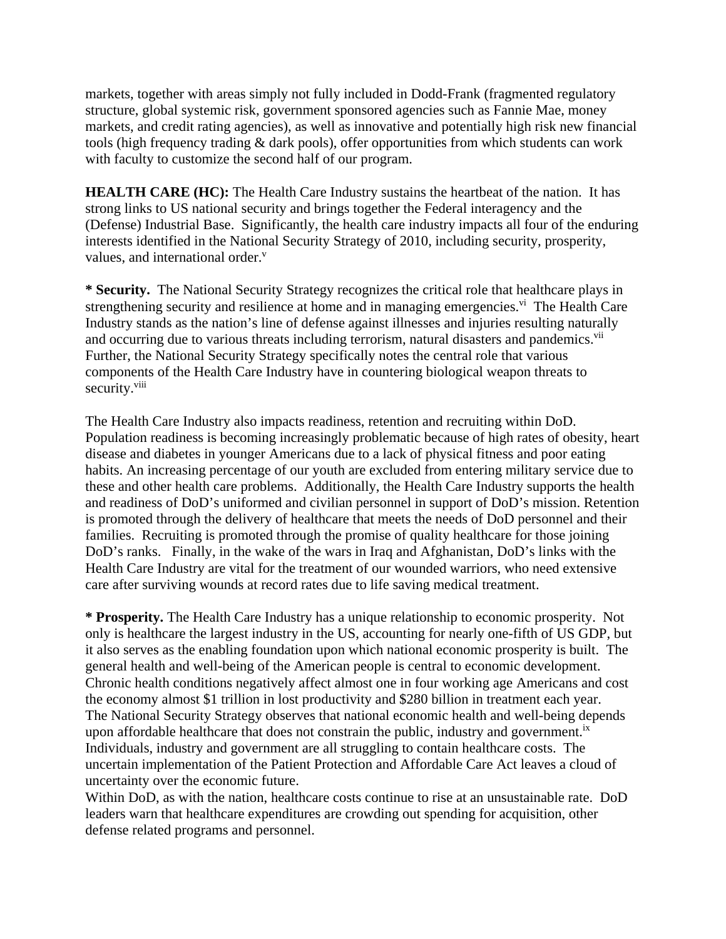markets, together with areas simply not fully included in Dodd-Frank (fragmented regulatory structure, global systemic risk, government sponsored agencies such as Fannie Mae, money markets, and credit rating agencies), as well as innovative and potentially high risk new financial tools (high frequency trading & dark pools), offer opportunities from which students can work with faculty to customize the second half of our program.

**HEALTH CARE (HC):** The Health Care Industry sustains the heartbeat of the nation. It has strong links to US national security and brings together the Federal interagency and the (Defense) Industrial Base. Significantly, the health care industry impacts all four of the enduring interests identified in the National Security Strategy of 2010, including security, prosperity, values, and international order.<sup>v</sup>

**\* Security.** The National Security Strategy recognizes the critical role that healthcare plays in strengthening security and resilience at home and in managing emergencies.<sup>vi</sup> The Health Care Industry stands as the nation's line of defense against illnesses and injuries resulting naturally and occurring due to various threats including terrorism, natural disasters and pandemics.<sup>vii</sup> Further, the National Security Strategy specifically notes the central role that various components of the Health Care Industry have in countering biological weapon threats to security.<sup>viii</sup>

The Health Care Industry also impacts readiness, retention and recruiting within DoD. Population readiness is becoming increasingly problematic because of high rates of obesity, heart disease and diabetes in younger Americans due to a lack of physical fitness and poor eating habits. An increasing percentage of our youth are excluded from entering military service due to these and other health care problems. Additionally, the Health Care Industry supports the health and readiness of DoD's uniformed and civilian personnel in support of DoD's mission. Retention is promoted through the delivery of healthcare that meets the needs of DoD personnel and their families. Recruiting is promoted through the promise of quality healthcare for those joining DoD's ranks. Finally, in the wake of the wars in Iraq and Afghanistan, DoD's links with the Health Care Industry are vital for the treatment of our wounded warriors, who need extensive care after surviving wounds at record rates due to life saving medical treatment.

**\* Prosperity.** The Health Care Industry has a unique relationship to economic prosperity. Not only is healthcare the largest industry in the US, accounting for nearly one-fifth of US GDP, but it also serves as the enabling foundation upon which national economic prosperity is built. The general health and well-being of the American people is central to economic development. Chronic health conditions negatively affect almost one in four working age Americans and cost the economy almost \$1 trillion in lost productivity and \$280 billion in treatment each year. The National Security Strategy observes that national economic health and well-being depends upon affordable healthcare that does not constrain the public, industry and government.<sup>ix</sup> Individuals, industry and government are all struggling to contain healthcare costs. The uncertain implementation of the Patient Protection and Affordable Care Act leaves a cloud of uncertainty over the economic future.

Within DoD, as with the nation, healthcare costs continue to rise at an unsustainable rate. DoD leaders warn that healthcare expenditures are crowding out spending for acquisition, other defense related programs and personnel.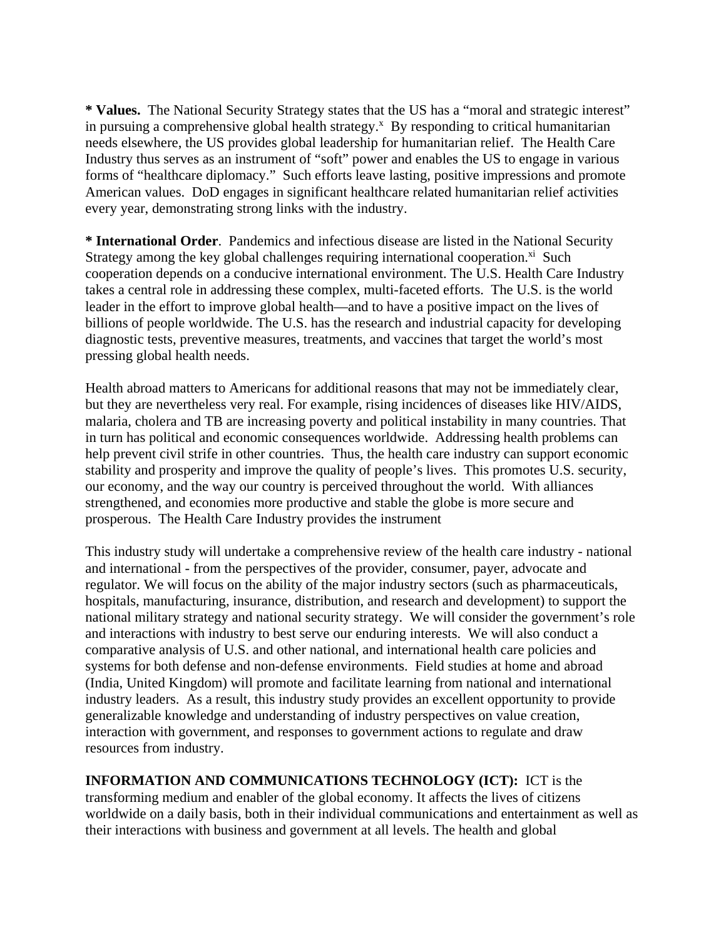**\* Values.** The National Security Strategy states that the US has a "moral and strategic interest" in pursuing a comprehensive global health strategy.<sup>x</sup> By responding to critical humanitarian needs elsewhere, the US provides global leadership for humanitarian relief. The Health Care Industry thus serves as an instrument of "soft" power and enables the US to engage in various forms of "healthcare diplomacy." Such efforts leave lasting, positive impressions and promote American values. DoD engages in significant healthcare related humanitarian relief activities every year, demonstrating strong links with the industry.

**\* International Order**. Pandemics and infectious disease are listed in the National Security Strategy among the key global challenges requiring international cooperation. ${}^{xi}$  Such cooperation depends on a conducive international environment. The U.S. Health Care Industry takes a central role in addressing these complex, multi-faceted efforts. The U.S. is the world leader in the effort to improve global health—and to have a positive impact on the lives of billions of people worldwide. The U.S. has the research and industrial capacity for developing diagnostic tests, preventive measures, treatments, and vaccines that target the world's most pressing global health needs.

Health abroad matters to Americans for additional reasons that may not be immediately clear, but they are nevertheless very real. For example, rising incidences of diseases like HIV/AIDS, malaria, cholera and TB are increasing poverty and political instability in many countries. That in turn has political and economic consequences worldwide. Addressing health problems can help prevent civil strife in other countries. Thus, the health care industry can support economic stability and prosperity and improve the quality of people's lives. This promotes U.S. security, our economy, and the way our country is perceived throughout the world. With alliances strengthened, and economies more productive and stable the globe is more secure and prosperous. The Health Care Industry provides the instrument

This industry study will undertake a comprehensive review of the health care industry - national and international - from the perspectives of the provider, consumer, payer, advocate and regulator. We will focus on the ability of the major industry sectors (such as pharmaceuticals, hospitals, manufacturing, insurance, distribution, and research and development) to support the national military strategy and national security strategy. We will consider the government's role and interactions with industry to best serve our enduring interests. We will also conduct a comparative analysis of U.S. and other national, and international health care policies and systems for both defense and non-defense environments. Field studies at home and abroad (India, United Kingdom) will promote and facilitate learning from national and international industry leaders. As a result, this industry study provides an excellent opportunity to provide generalizable knowledge and understanding of industry perspectives on value creation, interaction with government, and responses to government actions to regulate and draw resources from industry.

**INFORMATION AND COMMUNICATIONS TECHNOLOGY (ICT):** ICT is the transforming medium and enabler of the global economy. It affects the lives of citizens worldwide on a daily basis, both in their individual communications and entertainment as well as their interactions with business and government at all levels. The health and global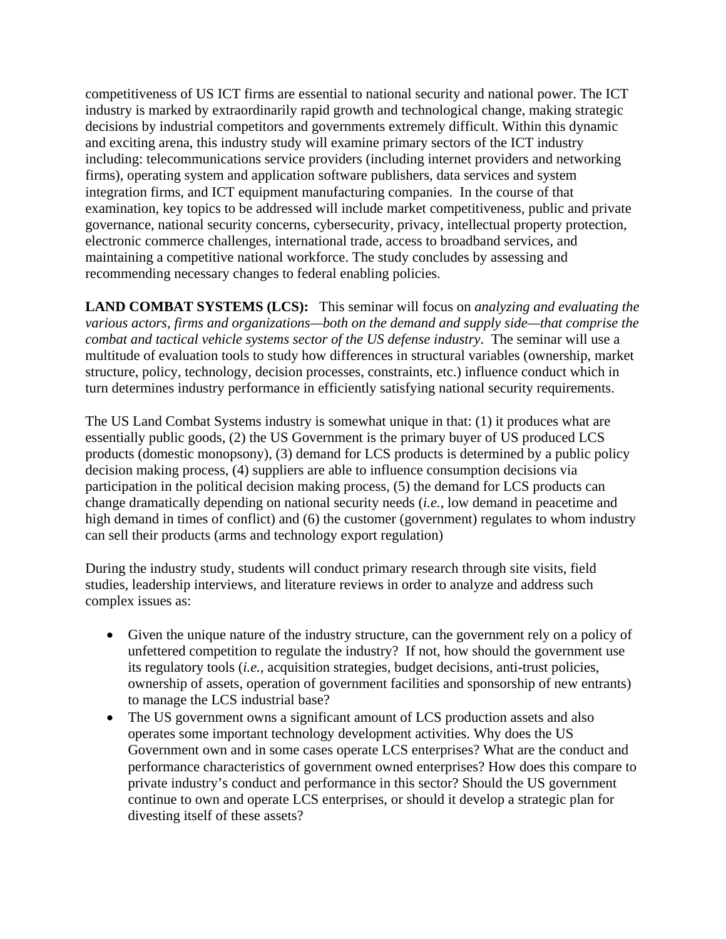competitiveness of US ICT firms are essential to national security and national power. The ICT industry is marked by extraordinarily rapid growth and technological change, making strategic decisions by industrial competitors and governments extremely difficult. Within this dynamic and exciting arena, this industry study will examine primary sectors of the ICT industry including: telecommunications service providers (including internet providers and networking firms), operating system and application software publishers, data services and system integration firms, and ICT equipment manufacturing companies. In the course of that examination, key topics to be addressed will include market competitiveness, public and private governance, national security concerns, cybersecurity, privacy, intellectual property protection, electronic commerce challenges, international trade, access to broadband services, and maintaining a competitive national workforce. The study concludes by assessing and recommending necessary changes to federal enabling policies.

**LAND COMBAT SYSTEMS (LCS):** This seminar will focus on *analyzing and evaluating the various actors, firms and organizations—both on the demand and supply side—that comprise the combat and tactical vehicle systems sector of the US defense industry*. The seminar will use a multitude of evaluation tools to study how differences in structural variables (ownership, market structure, policy, technology, decision processes, constraints, etc.) influence conduct which in turn determines industry performance in efficiently satisfying national security requirements.

The US Land Combat Systems industry is somewhat unique in that: (1) it produces what are essentially public goods, (2) the US Government is the primary buyer of US produced LCS products (domestic monopsony), (3) demand for LCS products is determined by a public policy decision making process, (4) suppliers are able to influence consumption decisions via participation in the political decision making process, (5) the demand for LCS products can change dramatically depending on national security needs (*i.e.*, low demand in peacetime and high demand in times of conflict) and (6) the customer (government) regulates to whom industry can sell their products (arms and technology export regulation)

During the industry study, students will conduct primary research through site visits, field studies, leadership interviews, and literature reviews in order to analyze and address such complex issues as:

- Given the unique nature of the industry structure, can the government rely on a policy of unfettered competition to regulate the industry? If not, how should the government use its regulatory tools (*i.e.*, acquisition strategies, budget decisions, anti-trust policies, ownership of assets, operation of government facilities and sponsorship of new entrants) to manage the LCS industrial base?
- The US government owns a significant amount of LCS production assets and also operates some important technology development activities. Why does the US Government own and in some cases operate LCS enterprises? What are the conduct and performance characteristics of government owned enterprises? How does this compare to private industry's conduct and performance in this sector? Should the US government continue to own and operate LCS enterprises, or should it develop a strategic plan for divesting itself of these assets?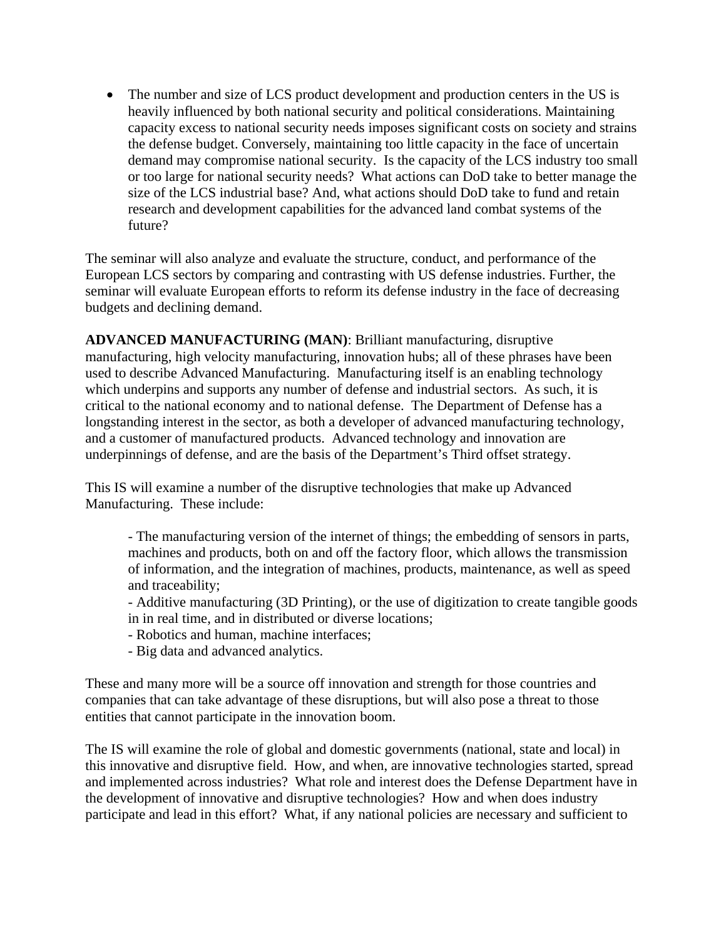• The number and size of LCS product development and production centers in the US is heavily influenced by both national security and political considerations. Maintaining capacity excess to national security needs imposes significant costs on society and strains the defense budget. Conversely, maintaining too little capacity in the face of uncertain demand may compromise national security. Is the capacity of the LCS industry too small or too large for national security needs? What actions can DoD take to better manage the size of the LCS industrial base? And, what actions should DoD take to fund and retain research and development capabilities for the advanced land combat systems of the future?

The seminar will also analyze and evaluate the structure, conduct, and performance of the European LCS sectors by comparing and contrasting with US defense industries. Further, the seminar will evaluate European efforts to reform its defense industry in the face of decreasing budgets and declining demand.

**ADVANCED MANUFACTURING (MAN)**: Brilliant manufacturing, disruptive manufacturing, high velocity manufacturing, innovation hubs; all of these phrases have been used to describe Advanced Manufacturing. Manufacturing itself is an enabling technology which underpins and supports any number of defense and industrial sectors. As such, it is critical to the national economy and to national defense. The Department of Defense has a longstanding interest in the sector, as both a developer of advanced manufacturing technology, and a customer of manufactured products. Advanced technology and innovation are underpinnings of defense, and are the basis of the Department's Third offset strategy.

This IS will examine a number of the disruptive technologies that make up Advanced Manufacturing. These include:

- The manufacturing version of the internet of things; the embedding of sensors in parts, machines and products, both on and off the factory floor, which allows the transmission of information, and the integration of machines, products, maintenance, as well as speed and traceability;

- Additive manufacturing (3D Printing), or the use of digitization to create tangible goods in in real time, and in distributed or diverse locations;
- Robotics and human, machine interfaces;
- Big data and advanced analytics.

These and many more will be a source off innovation and strength for those countries and companies that can take advantage of these disruptions, but will also pose a threat to those entities that cannot participate in the innovation boom.

The IS will examine the role of global and domestic governments (national, state and local) in this innovative and disruptive field. How, and when, are innovative technologies started, spread and implemented across industries? What role and interest does the Defense Department have in the development of innovative and disruptive technologies? How and when does industry participate and lead in this effort? What, if any national policies are necessary and sufficient to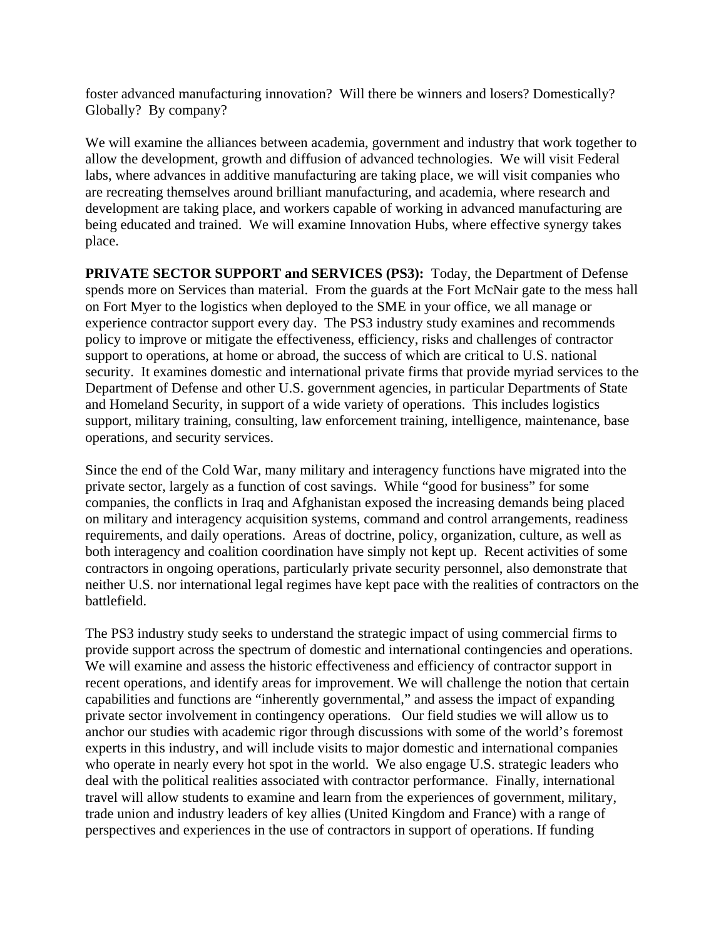foster advanced manufacturing innovation? Will there be winners and losers? Domestically? Globally? By company?

We will examine the alliances between academia, government and industry that work together to allow the development, growth and diffusion of advanced technologies. We will visit Federal labs, where advances in additive manufacturing are taking place, we will visit companies who are recreating themselves around brilliant manufacturing, and academia, where research and development are taking place, and workers capable of working in advanced manufacturing are being educated and trained. We will examine Innovation Hubs, where effective synergy takes place.

**PRIVATE SECTOR SUPPORT and SERVICES (PS3):** Today, the Department of Defense spends more on Services than material. From the guards at the Fort McNair gate to the mess hall on Fort Myer to the logistics when deployed to the SME in your office, we all manage or experience contractor support every day. The PS3 industry study examines and recommends policy to improve or mitigate the effectiveness, efficiency, risks and challenges of contractor support to operations, at home or abroad, the success of which are critical to U.S. national security. It examines domestic and international private firms that provide myriad services to the Department of Defense and other U.S. government agencies, in particular Departments of State and Homeland Security, in support of a wide variety of operations. This includes logistics support, military training, consulting, law enforcement training, intelligence, maintenance, base operations, and security services.

Since the end of the Cold War, many military and interagency functions have migrated into the private sector, largely as a function of cost savings. While "good for business" for some companies, the conflicts in Iraq and Afghanistan exposed the increasing demands being placed on military and interagency acquisition systems, command and control arrangements, readiness requirements, and daily operations. Areas of doctrine, policy, organization, culture, as well as both interagency and coalition coordination have simply not kept up. Recent activities of some contractors in ongoing operations, particularly private security personnel, also demonstrate that neither U.S. nor international legal regimes have kept pace with the realities of contractors on the battlefield.

The PS3 industry study seeks to understand the strategic impact of using commercial firms to provide support across the spectrum of domestic and international contingencies and operations. We will examine and assess the historic effectiveness and efficiency of contractor support in recent operations, and identify areas for improvement. We will challenge the notion that certain capabilities and functions are "inherently governmental," and assess the impact of expanding private sector involvement in contingency operations. Our field studies we will allow us to anchor our studies with academic rigor through discussions with some of the world's foremost experts in this industry, and will include visits to major domestic and international companies who operate in nearly every hot spot in the world. We also engage U.S. strategic leaders who deal with the political realities associated with contractor performance. Finally, international travel will allow students to examine and learn from the experiences of government, military, trade union and industry leaders of key allies (United Kingdom and France) with a range of perspectives and experiences in the use of contractors in support of operations. If funding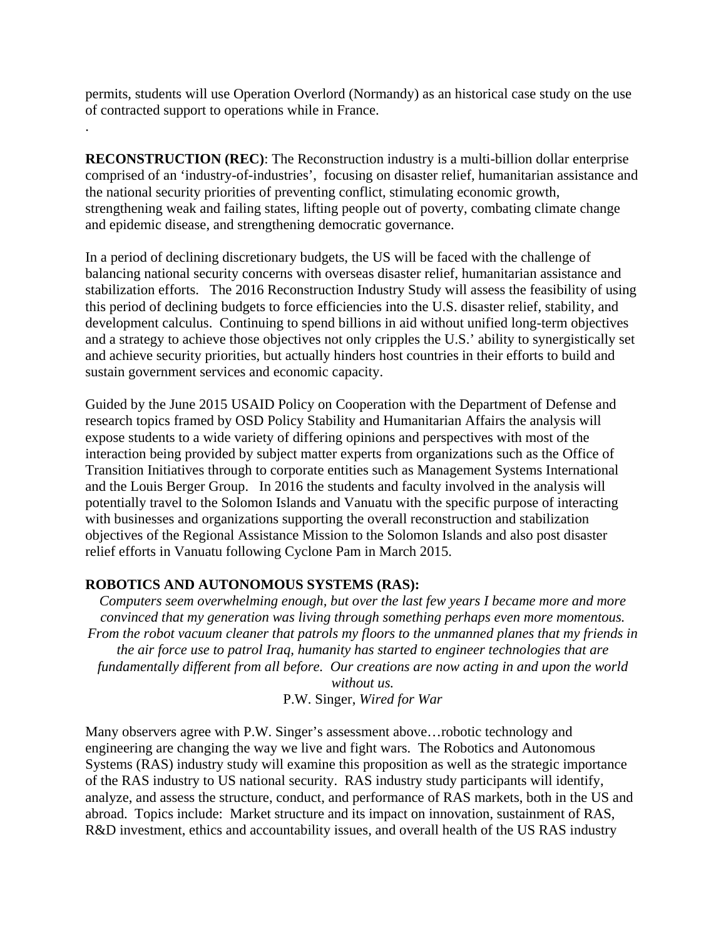permits, students will use Operation Overlord (Normandy) as an historical case study on the use of contracted support to operations while in France.

**RECONSTRUCTION (REC)**: The Reconstruction industry is a multi-billion dollar enterprise comprised of an 'industry-of-industries', focusing on disaster relief, humanitarian assistance and the national security priorities of preventing conflict, stimulating economic growth, strengthening weak and failing states, lifting people out of poverty, combating climate change and epidemic disease, and strengthening democratic governance.

In a period of declining discretionary budgets, the US will be faced with the challenge of balancing national security concerns with overseas disaster relief, humanitarian assistance and stabilization efforts. The 2016 Reconstruction Industry Study will assess the feasibility of using this period of declining budgets to force efficiencies into the U.S. disaster relief, stability, and development calculus. Continuing to spend billions in aid without unified long-term objectives and a strategy to achieve those objectives not only cripples the U.S.' ability to synergistically set and achieve security priorities, but actually hinders host countries in their efforts to build and sustain government services and economic capacity.

Guided by the June 2015 USAID Policy on Cooperation with the Department of Defense and research topics framed by OSD Policy Stability and Humanitarian Affairs the analysis will expose students to a wide variety of differing opinions and perspectives with most of the interaction being provided by subject matter experts from organizations such as the Office of Transition Initiatives through to corporate entities such as Management Systems International and the Louis Berger Group. In 2016 the students and faculty involved in the analysis will potentially travel to the Solomon Islands and Vanuatu with the specific purpose of interacting with businesses and organizations supporting the overall reconstruction and stabilization objectives of the Regional Assistance Mission to the Solomon Islands and also post disaster relief efforts in Vanuatu following Cyclone Pam in March 2015.

## **ROBOTICS AND AUTONOMOUS SYSTEMS (RAS):**

.

*Computers seem overwhelming enough, but over the last few years I became more and more convinced that my generation was living through something perhaps even more momentous. From the robot vacuum cleaner that patrols my floors to the unmanned planes that my friends in the air force use to patrol Iraq, humanity has started to engineer technologies that are fundamentally different from all before. Our creations are now acting in and upon the world without us.* 

P.W. Singer, *Wired for War*

Many observers agree with P.W. Singer's assessment above…robotic technology and engineering are changing the way we live and fight wars. The Robotics and Autonomous Systems (RAS) industry study will examine this proposition as well as the strategic importance of the RAS industry to US national security. RAS industry study participants will identify, analyze, and assess the structure, conduct, and performance of RAS markets, both in the US and abroad. Topics include: Market structure and its impact on innovation, sustainment of RAS, R&D investment, ethics and accountability issues, and overall health of the US RAS industry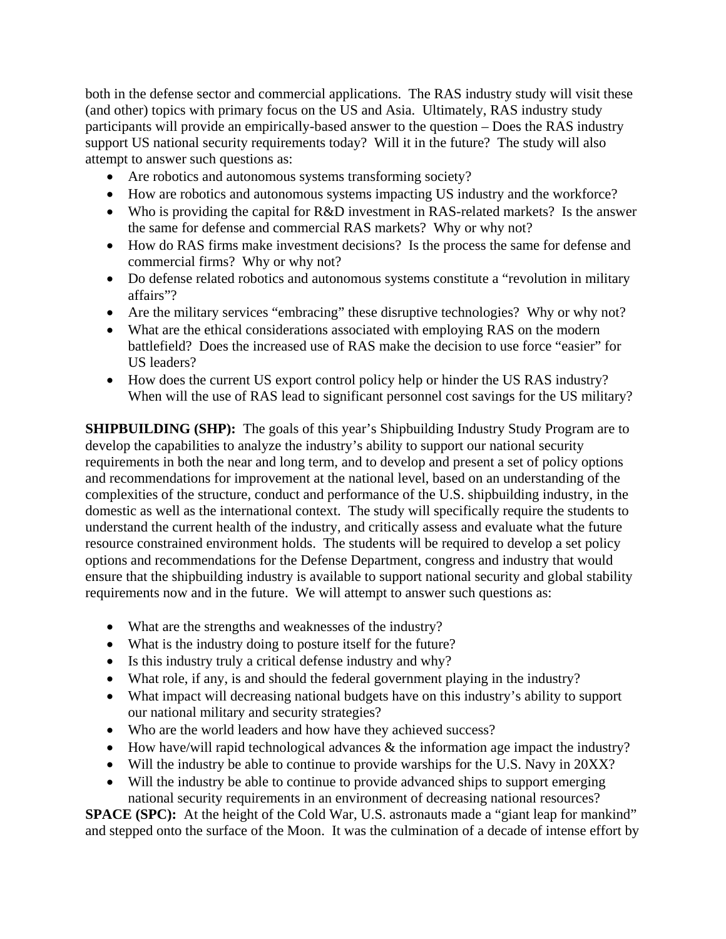both in the defense sector and commercial applications. The RAS industry study will visit these (and other) topics with primary focus on the US and Asia. Ultimately, RAS industry study participants will provide an empirically-based answer to the question – Does the RAS industry support US national security requirements today? Will it in the future? The study will also attempt to answer such questions as:

- Are robotics and autonomous systems transforming society?
- How are robotics and autonomous systems impacting US industry and the workforce?
- Who is providing the capital for R&D investment in RAS-related markets? Is the answer the same for defense and commercial RAS markets? Why or why not?
- How do RAS firms make investment decisions? Is the process the same for defense and commercial firms? Why or why not?
- Do defense related robotics and autonomous systems constitute a "revolution in military affairs"?
- Are the military services "embracing" these disruptive technologies? Why or why not?
- What are the ethical considerations associated with employing RAS on the modern battlefield? Does the increased use of RAS make the decision to use force "easier" for US leaders?
- How does the current US export control policy help or hinder the US RAS industry? When will the use of RAS lead to significant personnel cost savings for the US military?

**SHIPBUILDING (SHP):** The goals of this year's Shipbuilding Industry Study Program are to develop the capabilities to analyze the industry's ability to support our national security requirements in both the near and long term, and to develop and present a set of policy options and recommendations for improvement at the national level, based on an understanding of the complexities of the structure, conduct and performance of the U.S. shipbuilding industry, in the domestic as well as the international context. The study will specifically require the students to understand the current health of the industry, and critically assess and evaluate what the future resource constrained environment holds. The students will be required to develop a set policy options and recommendations for the Defense Department, congress and industry that would ensure that the shipbuilding industry is available to support national security and global stability requirements now and in the future. We will attempt to answer such questions as:

- What are the strengths and weaknesses of the industry?
- What is the industry doing to posture itself for the future?
- Is this industry truly a critical defense industry and why?
- What role, if any, is and should the federal government playing in the industry?
- What impact will decreasing national budgets have on this industry's ability to support our national military and security strategies?
- Who are the world leaders and how have they achieved success?
- How have/will rapid technological advances & the information age impact the industry?
- Will the industry be able to continue to provide warships for the U.S. Navy in 20XX?
- Will the industry be able to continue to provide advanced ships to support emerging national security requirements in an environment of decreasing national resources?

**SPACE (SPC):** At the height of the Cold War, U.S. astronauts made a "giant leap for mankind" and stepped onto the surface of the Moon. It was the culmination of a decade of intense effort by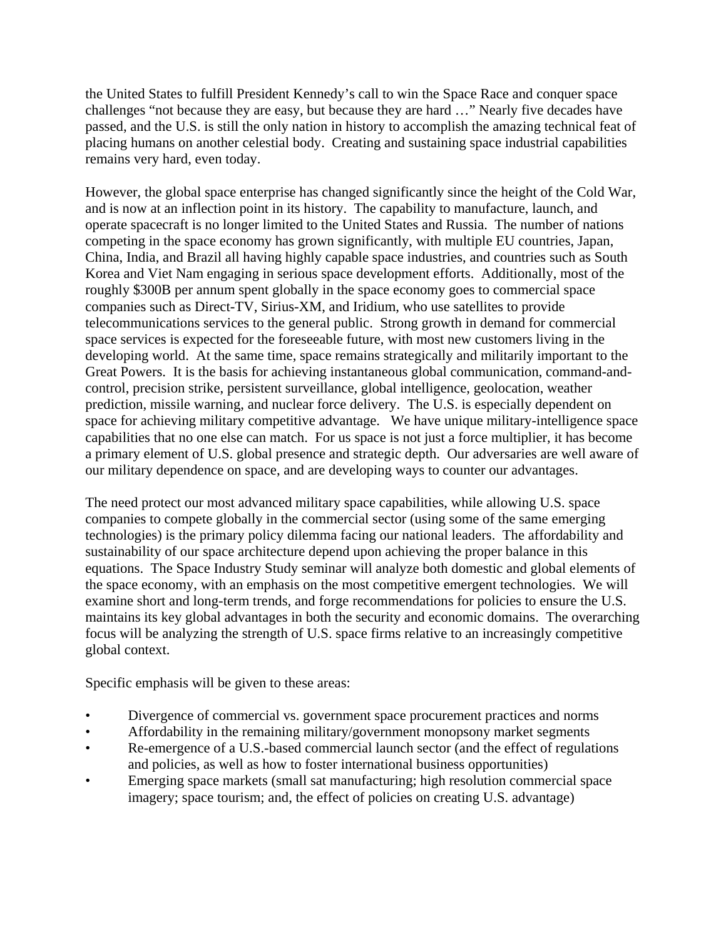the United States to fulfill President Kennedy's call to win the Space Race and conquer space challenges "not because they are easy, but because they are hard …" Nearly five decades have passed, and the U.S. is still the only nation in history to accomplish the amazing technical feat of placing humans on another celestial body. Creating and sustaining space industrial capabilities remains very hard, even today.

However, the global space enterprise has changed significantly since the height of the Cold War, and is now at an inflection point in its history. The capability to manufacture, launch, and operate spacecraft is no longer limited to the United States and Russia. The number of nations competing in the space economy has grown significantly, with multiple EU countries, Japan, China, India, and Brazil all having highly capable space industries, and countries such as South Korea and Viet Nam engaging in serious space development efforts. Additionally, most of the roughly \$300B per annum spent globally in the space economy goes to commercial space companies such as Direct-TV, Sirius-XM, and Iridium, who use satellites to provide telecommunications services to the general public. Strong growth in demand for commercial space services is expected for the foreseeable future, with most new customers living in the developing world. At the same time, space remains strategically and militarily important to the Great Powers. It is the basis for achieving instantaneous global communication, command-andcontrol, precision strike, persistent surveillance, global intelligence, geolocation, weather prediction, missile warning, and nuclear force delivery. The U.S. is especially dependent on space for achieving military competitive advantage. We have unique military-intelligence space capabilities that no one else can match. For us space is not just a force multiplier, it has become a primary element of U.S. global presence and strategic depth. Our adversaries are well aware of our military dependence on space, and are developing ways to counter our advantages.

The need protect our most advanced military space capabilities, while allowing U.S. space companies to compete globally in the commercial sector (using some of the same emerging technologies) is the primary policy dilemma facing our national leaders. The affordability and sustainability of our space architecture depend upon achieving the proper balance in this equations. The Space Industry Study seminar will analyze both domestic and global elements of the space economy, with an emphasis on the most competitive emergent technologies. We will examine short and long-term trends, and forge recommendations for policies to ensure the U.S. maintains its key global advantages in both the security and economic domains. The overarching focus will be analyzing the strength of U.S. space firms relative to an increasingly competitive global context.

Specific emphasis will be given to these areas:

- Divergence of commercial vs. government space procurement practices and norms
- Affordability in the remaining military/government monopsony market segments
- Re-emergence of a U.S.-based commercial launch sector (and the effect of regulations and policies, as well as how to foster international business opportunities)
- Emerging space markets (small sat manufacturing; high resolution commercial space imagery; space tourism; and, the effect of policies on creating U.S. advantage)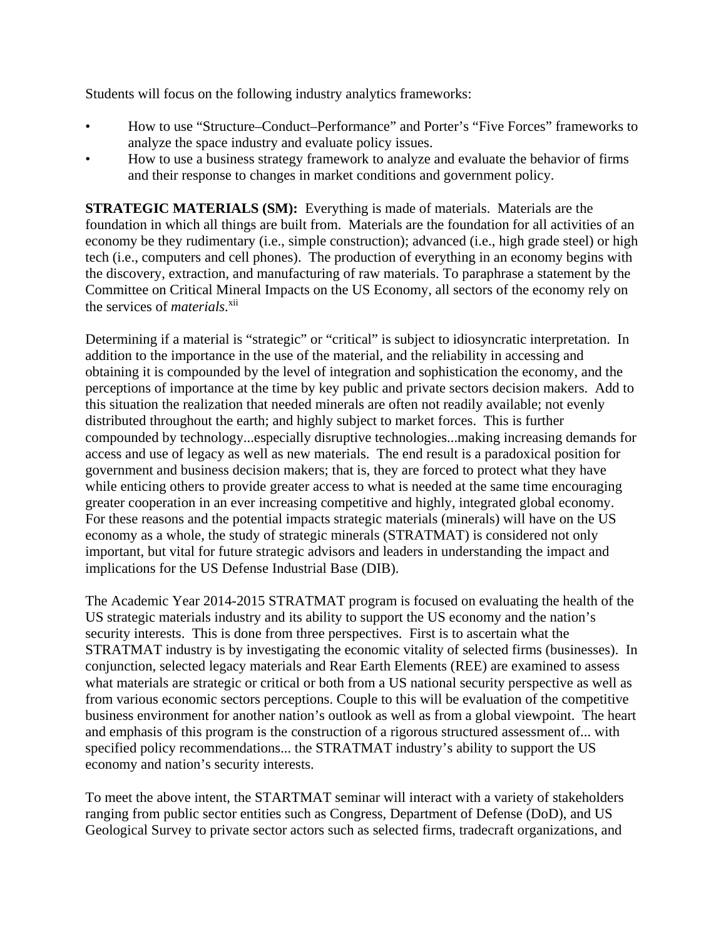Students will focus on the following industry analytics frameworks:

- How to use "Structure–Conduct–Performance" and Porter's "Five Forces" frameworks to analyze the space industry and evaluate policy issues.
- How to use a business strategy framework to analyze and evaluate the behavior of firms and their response to changes in market conditions and government policy.

**STRATEGIC MATERIALS (SM):** Everything is made of materials. Materials are the foundation in which all things are built from. Materials are the foundation for all activities of an economy be they rudimentary (i.e., simple construction); advanced (i.e., high grade steel) or high tech (i.e., computers and cell phones). The production of everything in an economy begins with the discovery, extraction, and manufacturing of raw materials. To paraphrase a statement by the Committee on Critical Mineral Impacts on the US Economy, all sectors of the economy rely on the services of *materials*. xii

Determining if a material is "strategic" or "critical" is subject to idiosyncratic interpretation. In addition to the importance in the use of the material, and the reliability in accessing and obtaining it is compounded by the level of integration and sophistication the economy, and the perceptions of importance at the time by key public and private sectors decision makers. Add to this situation the realization that needed minerals are often not readily available; not evenly distributed throughout the earth; and highly subject to market forces. This is further compounded by technology...especially disruptive technologies...making increasing demands for access and use of legacy as well as new materials. The end result is a paradoxical position for government and business decision makers; that is, they are forced to protect what they have while enticing others to provide greater access to what is needed at the same time encouraging greater cooperation in an ever increasing competitive and highly, integrated global economy. For these reasons and the potential impacts strategic materials (minerals) will have on the US economy as a whole, the study of strategic minerals (STRATMAT) is considered not only important, but vital for future strategic advisors and leaders in understanding the impact and implications for the US Defense Industrial Base (DIB).

The Academic Year 2014-2015 STRATMAT program is focused on evaluating the health of the US strategic materials industry and its ability to support the US economy and the nation's security interests. This is done from three perspectives. First is to ascertain what the STRATMAT industry is by investigating the economic vitality of selected firms (businesses). In conjunction, selected legacy materials and Rear Earth Elements (REE) are examined to assess what materials are strategic or critical or both from a US national security perspective as well as from various economic sectors perceptions. Couple to this will be evaluation of the competitive business environment for another nation's outlook as well as from a global viewpoint. The heart and emphasis of this program is the construction of a rigorous structured assessment of... with specified policy recommendations... the STRATMAT industry's ability to support the US economy and nation's security interests.

To meet the above intent, the STARTMAT seminar will interact with a variety of stakeholders ranging from public sector entities such as Congress, Department of Defense (DoD), and US Geological Survey to private sector actors such as selected firms, tradecraft organizations, and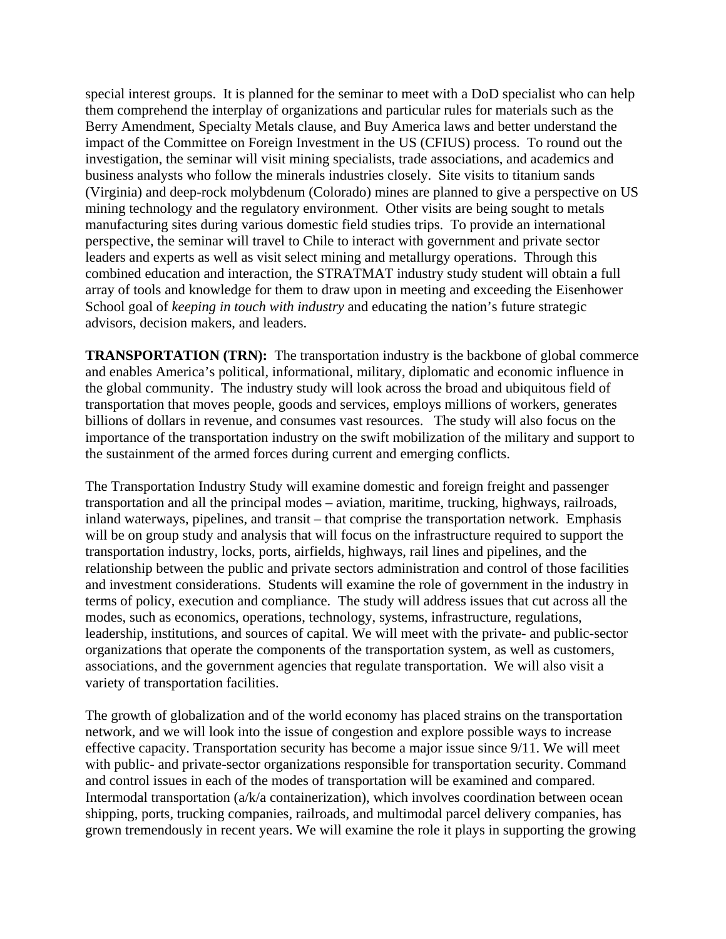special interest groups. It is planned for the seminar to meet with a DoD specialist who can help them comprehend the interplay of organizations and particular rules for materials such as the Berry Amendment, Specialty Metals clause, and Buy America laws and better understand the impact of the Committee on Foreign Investment in the US (CFIUS) process. To round out the investigation, the seminar will visit mining specialists, trade associations, and academics and business analysts who follow the minerals industries closely. Site visits to titanium sands (Virginia) and deep-rock molybdenum (Colorado) mines are planned to give a perspective on US mining technology and the regulatory environment. Other visits are being sought to metals manufacturing sites during various domestic field studies trips. To provide an international perspective, the seminar will travel to Chile to interact with government and private sector leaders and experts as well as visit select mining and metallurgy operations. Through this combined education and interaction, the STRATMAT industry study student will obtain a full array of tools and knowledge for them to draw upon in meeting and exceeding the Eisenhower School goal of *keeping in touch with industry* and educating the nation's future strategic advisors, decision makers, and leaders.

**TRANSPORTATION (TRN):** The transportation industry is the backbone of global commerce and enables America's political, informational, military, diplomatic and economic influence in the global community. The industry study will look across the broad and ubiquitous field of transportation that moves people, goods and services, employs millions of workers, generates billions of dollars in revenue, and consumes vast resources. The study will also focus on the importance of the transportation industry on the swift mobilization of the military and support to the sustainment of the armed forces during current and emerging conflicts.

The Transportation Industry Study will examine domestic and foreign freight and passenger transportation and all the principal modes – aviation, maritime, trucking, highways, railroads, inland waterways, pipelines, and transit – that comprise the transportation network. Emphasis will be on group study and analysis that will focus on the infrastructure required to support the transportation industry, locks, ports, airfields, highways, rail lines and pipelines, and the relationship between the public and private sectors administration and control of those facilities and investment considerations. Students will examine the role of government in the industry in terms of policy, execution and compliance. The study will address issues that cut across all the modes, such as economics, operations, technology, systems, infrastructure, regulations, leadership, institutions, and sources of capital. We will meet with the private- and public-sector organizations that operate the components of the transportation system, as well as customers, associations, and the government agencies that regulate transportation. We will also visit a variety of transportation facilities.

The growth of globalization and of the world economy has placed strains on the transportation network, and we will look into the issue of congestion and explore possible ways to increase effective capacity. Transportation security has become a major issue since 9/11. We will meet with public- and private-sector organizations responsible for transportation security. Command and control issues in each of the modes of transportation will be examined and compared. Intermodal transportation (a/k/a containerization), which involves coordination between ocean shipping, ports, trucking companies, railroads, and multimodal parcel delivery companies, has grown tremendously in recent years. We will examine the role it plays in supporting the growing